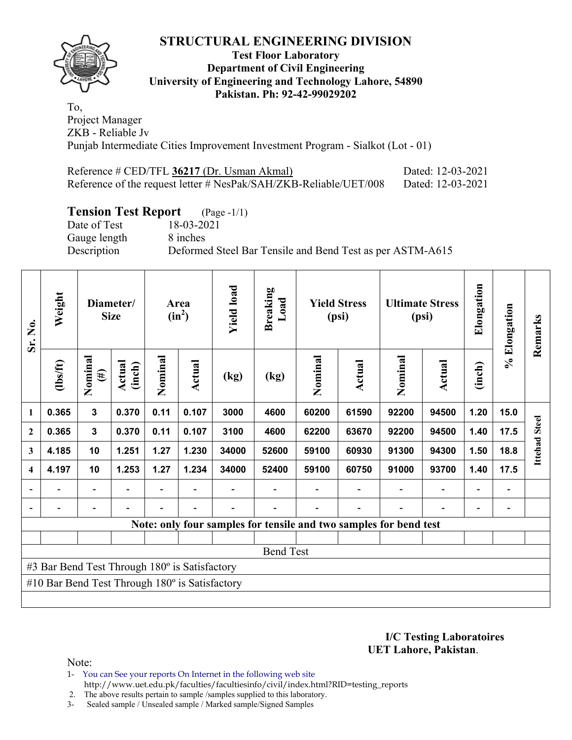

### **Test Floor Laboratory Department of Civil Engineering University of Engineering and Technology Lahore, 54890 Pakistan. Ph: 92-42-99029202**

To, Project Manager ZKB - Reliable Jv Punjab Intermediate Cities Improvement Investment Program - Sialkot (Lot - 01)

| Reference # CED/TFL 36217 (Dr. Usman Akmal)                       | Dated: 12-03-2021 |
|-------------------------------------------------------------------|-------------------|
| Reference of the request letter # NesPak/SAH/ZKB-Reliable/UET/008 | Dated: 12-03-2021 |

# **Tension Test Report** (Page -1/1)

Date of Test 18-03-2021 Gauge length 8 inches

Description Deformed Steel Bar Tensile and Bend Test as per ASTM-A615

| Sr. No.        | Weight                                                |                          | Diameter/<br><b>Size</b> |         | Area<br>$(in^2)$ | <b>Yield load</b> | <b>Breaking</b><br>Load                                           |         | <b>Yield Stress</b><br>(psi) |         | <b>Ultimate Stress</b><br>(psi) | Elongation     | % Elongation | Remarks      |
|----------------|-------------------------------------------------------|--------------------------|--------------------------|---------|------------------|-------------------|-------------------------------------------------------------------|---------|------------------------------|---------|---------------------------------|----------------|--------------|--------------|
|                | (1bs/ft)                                              | Nominal<br>$(\#)$        | Actual<br>(inch)         | Nominal | <b>Actual</b>    | (kg)              | (kg)                                                              | Nominal | Actual                       | Nominal | Actual                          | (inch)         |              |              |
| 1              | 0.365                                                 | $\mathbf{3}$             | 0.370                    | 0.11    | 0.107            | 3000              | 4600                                                              | 60200   | 61590                        | 92200   | 94500                           | 1.20           | 15.0         |              |
| $\overline{2}$ | 0.365                                                 | $\mathbf{3}$             | 0.370                    | 0.11    | 0.107            | 3100              | 4600                                                              | 62200   | 63670                        | 92200   | 94500                           | 1.40           | 17.5         | <b>Steel</b> |
| 3              | 4.185                                                 | 10                       | 1.251                    | 1.27    | 1.230            | 34000             | 52600                                                             | 59100   | 60930                        | 91300   | 94300                           | 1.50           | 18.8         | Ittehad      |
| 4              | 4.197                                                 | 10                       | 1.253                    | 1.27    | 1.234            | 34000             | 52400                                                             | 59100   | 60750                        | 91000   | 93700                           | 1.40           | 17.5         |              |
|                |                                                       | $\overline{\phantom{0}}$ |                          |         |                  |                   |                                                                   |         |                              |         |                                 | $\overline{a}$ |              |              |
|                |                                                       |                          |                          |         |                  |                   |                                                                   |         |                              |         |                                 |                |              |              |
|                |                                                       |                          |                          |         |                  |                   | Note: only four samples for tensile and two samples for bend test |         |                              |         |                                 |                |              |              |
|                |                                                       |                          |                          |         |                  |                   |                                                                   |         |                              |         |                                 |                |              |              |
|                |                                                       |                          |                          |         |                  |                   | <b>Bend Test</b>                                                  |         |                              |         |                                 |                |              |              |
|                | #3 Bar Bend Test Through 180° is Satisfactory         |                          |                          |         |                  |                   |                                                                   |         |                              |         |                                 |                |              |              |
|                | #10 Bar Bend Test Through $180^\circ$ is Satisfactory |                          |                          |         |                  |                   |                                                                   |         |                              |         |                                 |                |              |              |
|                |                                                       |                          |                          |         |                  |                   |                                                                   |         |                              |         |                                 |                |              |              |

**I/C Testing Laboratoires UET Lahore, Pakistan**.

Note:

- 1- You can See your reports On Internet in the following web site http://www.uet.edu.pk/faculties/facultiesinfo/civil/index.html?RID=testing\_reports
- 2. The above results pertain to sample /samples supplied to this laboratory.
- 3- Sealed sample / Unsealed sample / Marked sample/Signed Samples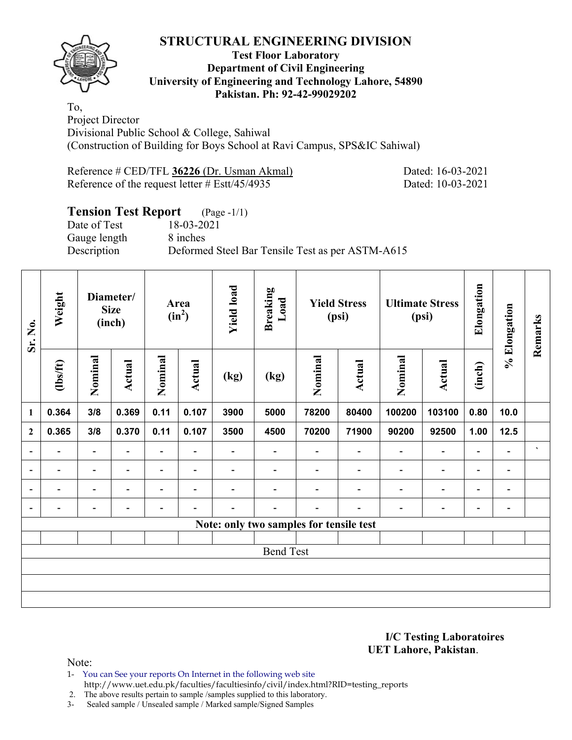

## **Test Floor Laboratory Department of Civil Engineering University of Engineering and Technology Lahore, 54890 Pakistan. Ph: 92-42-99029202**

To, Project Director Divisional Public School & College, Sahiwal (Construction of Building for Boys School at Ravi Campus, SPS&IC Sahiwal)

Reference # CED/TFL **36226** (Dr. Usman Akmal) Dated: 16-03-2021 Reference of the request letter # Estt/45/4935 Dated: 10-03-2021

# **Tension Test Report** (Page -1/1)

Gauge length 8 inches

Date of Test 18-03-2021 Description Deformed Steel Bar Tensile Test as per ASTM-A615

| Sr. No.                  | Weight                   |                          | Diameter/<br><b>Size</b><br>(inch) |                          | Area<br>$(in^2)$         | <b>Yield load</b>        | <b>Breaking</b><br>Load                 |                          | <b>Yield Stress</b><br>(psi) |                          | <b>Ultimate Stress</b><br>(psi) | Elongation               | % Elongation                 | Remarks        |
|--------------------------|--------------------------|--------------------------|------------------------------------|--------------------------|--------------------------|--------------------------|-----------------------------------------|--------------------------|------------------------------|--------------------------|---------------------------------|--------------------------|------------------------------|----------------|
|                          | $\frac{1}{10}$           | Nominal                  | <b>Actual</b>                      | Nominal                  | Actual                   | (kg)                     | (kg)                                    | Nominal                  | Actual                       | Nominal                  | Actual                          | (inch)                   |                              |                |
| $\mathbf{1}$             | 0.364                    | 3/8                      | 0.369                              | 0.11                     | 0.107                    | 3900                     | 5000                                    | 78200                    | 80400                        | 100200                   | 103100                          | 0.80                     | 10.0                         |                |
| $\overline{2}$           | 0.365                    | 3/8                      | 0.370                              | 0.11                     | 0.107                    | 3500                     | 4500                                    | 70200                    | 71900                        | 90200                    | 92500                           | 1.00                     | 12.5                         |                |
| $\overline{\phantom{a}}$ | $\overline{\phantom{0}}$ | $\blacksquare$           | $\overline{\phantom{0}}$           | $\overline{\phantom{a}}$ | $\blacksquare$           | $\overline{\phantom{0}}$ | $\overline{\phantom{0}}$                | $\overline{\phantom{0}}$ | $\blacksquare$               | $\blacksquare$           | $\overline{\phantom{0}}$        | $\overline{\phantom{a}}$ | $\blacksquare$               | $\blacksquare$ |
| $\overline{\phantom{a}}$ | -                        | $\blacksquare$           | $\overline{\phantom{0}}$           | $\overline{\phantom{a}}$ | $\overline{\phantom{a}}$ | $\blacksquare$           |                                         |                          | $\overline{\phantom{0}}$     | $\overline{\phantom{0}}$ | $\overline{\phantom{a}}$        | $\overline{\phantom{a}}$ | $\qquad \qquad \blacksquare$ |                |
| $\blacksquare$           |                          | $\overline{\phantom{0}}$ |                                    | $\overline{\phantom{0}}$ | $\overline{\phantom{0}}$ |                          |                                         |                          |                              | $\overline{\phantom{0}}$ | $\overline{a}$                  | $\overline{\phantom{a}}$ | $\blacksquare$               |                |
| $\blacksquare$           |                          |                          |                                    |                          |                          |                          |                                         |                          |                              |                          | -                               | -                        | $\qquad \qquad \blacksquare$ |                |
|                          |                          |                          |                                    |                          |                          |                          | Note: only two samples for tensile test |                          |                              |                          |                                 |                          |                              |                |
|                          |                          |                          |                                    |                          |                          |                          |                                         |                          |                              |                          |                                 |                          |                              |                |
|                          |                          |                          |                                    |                          |                          |                          | <b>Bend Test</b>                        |                          |                              |                          |                                 |                          |                              |                |
|                          |                          |                          |                                    |                          |                          |                          |                                         |                          |                              |                          |                                 |                          |                              |                |
|                          |                          |                          |                                    |                          |                          |                          |                                         |                          |                              |                          |                                 |                          |                              |                |
|                          |                          |                          |                                    |                          |                          |                          |                                         |                          |                              |                          |                                 |                          |                              |                |

**I/C Testing Laboratoires UET Lahore, Pakistan**.

Note:

1- You can See your reports On Internet in the following web site http://www.uet.edu.pk/faculties/facultiesinfo/civil/index.html?RID=testing\_reports

2. The above results pertain to sample /samples supplied to this laboratory.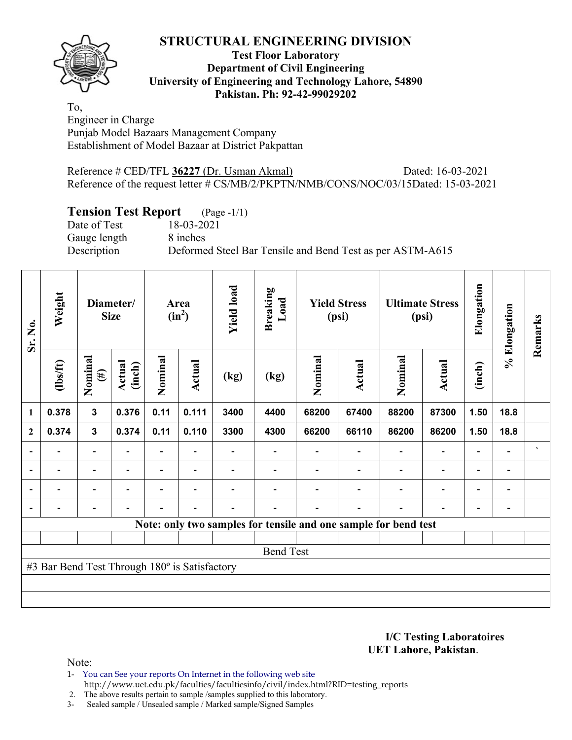## **Test Floor Laboratory Department of Civil Engineering University of Engineering and Technology Lahore, 54890 Pakistan. Ph: 92-42-99029202**

To, Engineer in Charge Punjab Model Bazaars Management Company Establishment of Model Bazaar at District Pakpattan

Reference # CED/TFL **36227** (Dr. Usman Akmal) Dated: 16-03-2021 Reference of the request letter # CS/MB/2/PKPTN/NMB/CONS/NOC/03/15Dated: 15-03-2021

# **Tension Test Report** (Page -1/1)

Date of Test 18-03-2021 Gauge length 8 inches Description Deformed Steel Bar Tensile and Bend Test as per ASTM-A615

| Sr. No.        | Weight                                        |                          | Diameter/<br><b>Size</b> |                          | Area<br>$(in^2)$ | <b>Yield load</b> | <b>Breaking</b><br>Load |         | <b>Yield Stress</b><br>(psi)                                    |         | <b>Ultimate Stress</b><br>(psi) | Elongation               | % Elongation                 | Remarks |
|----------------|-----------------------------------------------|--------------------------|--------------------------|--------------------------|------------------|-------------------|-------------------------|---------|-----------------------------------------------------------------|---------|---------------------------------|--------------------------|------------------------------|---------|
|                | $\frac{1}{2}$                                 | Nominal<br>$(\#)$        | Actual<br>(inch)         | Nominal                  | Actual           | (kg)              | (kg)                    | Nominal | Actual                                                          | Nominal | Actual                          | (inch)                   |                              |         |
| 1              | 0.378                                         | $\overline{\mathbf{3}}$  | 0.376                    | 0.11                     | 0.111            | 3400              | 4400                    | 68200   | 67400                                                           | 88200   | 87300                           | 1.50                     | 18.8                         |         |
| $\mathbf{2}$   | 0.374                                         | $\mathbf{3}$             | 0.374                    | 0.11                     | 0.110            | 3300              | 4300                    | 66200   | 66110                                                           | 86200   | 86200                           | 1.50                     | 18.8                         |         |
|                |                                               | $\overline{\phantom{0}}$ |                          | $\overline{\phantom{0}}$ |                  |                   |                         |         |                                                                 |         | $\overline{\phantom{a}}$        |                          |                              | $\cdot$ |
|                |                                               | -                        |                          |                          |                  |                   |                         |         |                                                                 |         |                                 |                          | $\overline{\phantom{0}}$     |         |
| $\blacksquare$ |                                               | $\overline{\phantom{0}}$ |                          |                          | ۰                |                   |                         |         |                                                                 |         | $\overline{\phantom{0}}$        | $\overline{\phantom{0}}$ | $\qquad \qquad \blacksquare$ |         |
|                |                                               | $\overline{\phantom{0}}$ |                          |                          | ٠                |                   |                         |         |                                                                 |         |                                 | $\overline{\phantom{0}}$ | $\overline{\phantom{a}}$     |         |
|                |                                               |                          |                          |                          |                  |                   |                         |         | Note: only two samples for tensile and one sample for bend test |         |                                 |                          |                              |         |
|                |                                               |                          |                          |                          |                  |                   |                         |         |                                                                 |         |                                 |                          |                              |         |
|                |                                               |                          |                          |                          |                  |                   | <b>Bend Test</b>        |         |                                                                 |         |                                 |                          |                              |         |
|                | #3 Bar Bend Test Through 180° is Satisfactory |                          |                          |                          |                  |                   |                         |         |                                                                 |         |                                 |                          |                              |         |
|                |                                               |                          |                          |                          |                  |                   |                         |         |                                                                 |         |                                 |                          |                              |         |
|                |                                               |                          |                          |                          |                  |                   |                         |         |                                                                 |         |                                 |                          |                              |         |

**I/C Testing Laboratoires UET Lahore, Pakistan**.

Note:

1- You can See your reports On Internet in the following web site http://www.uet.edu.pk/faculties/facultiesinfo/civil/index.html?RID=testing\_reports

2. The above results pertain to sample /samples supplied to this laboratory.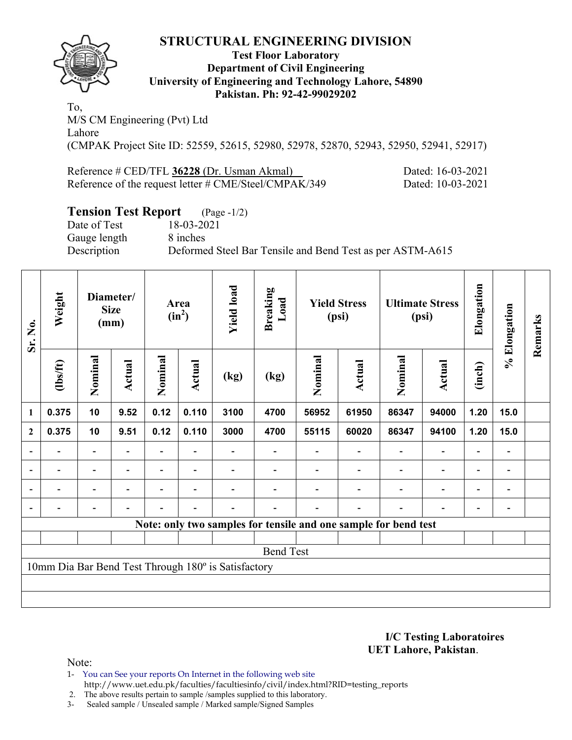

### **Test Floor Laboratory Department of Civil Engineering University of Engineering and Technology Lahore, 54890 Pakistan. Ph: 92-42-99029202**

To, M/S CM Engineering (Pvt) Ltd Lahore (CMPAK Project Site ID: 52559, 52615, 52980, 52978, 52870, 52943, 52950, 52941, 52917)

Reference # CED/TFL 36228 (Dr. Usman Akmal) Dated: 16-03-2021 Reference of the request letter # CME/Steel/CMPAK/349 Dated: 10-03-2021

# **Tension Test Report** (Page -1/2)

Date of Test 18-03-2021 Gauge length 8 inches

Description Deformed Steel Bar Tensile and Bend Test as per ASTM-A615

| Sr. No.        | Weight         |                          | Diameter/<br><b>Size</b><br>(mm) |                | Area<br>$(in^2)$         | <b>Yield load</b>                                   | <b>Breaking</b><br>Load |         | <b>Yield Stress</b><br>(psi) |                                                                 | <b>Ultimate Stress</b><br>(psi) | Elongation               | % Elongation   | Remarks |
|----------------|----------------|--------------------------|----------------------------------|----------------|--------------------------|-----------------------------------------------------|-------------------------|---------|------------------------------|-----------------------------------------------------------------|---------------------------------|--------------------------|----------------|---------|
|                | $\frac{2}{10}$ | Nominal                  | Actual                           | Nominal        | <b>Actual</b>            | (kg)                                                | (kg)                    | Nominal | Actual                       | Nominal                                                         | <b>Actual</b>                   | (inch)                   |                |         |
| 1              | 0.375          | 10                       | 9.52                             | 0.12           | 0.110                    | 3100                                                | 4700                    | 56952   | 61950                        | 86347                                                           | 94000                           | 1.20                     | 15.0           |         |
| $\mathbf{2}$   | 0.375          | 10                       | 9.51                             | 0.12           | 0.110                    | 3000                                                | 4700                    | 55115   | 60020                        | 86347                                                           | 94100                           | 1.20                     | 15.0           |         |
|                |                | $\overline{\phantom{0}}$ |                                  |                |                          |                                                     |                         |         |                              |                                                                 |                                 | $\overline{\phantom{0}}$ |                |         |
| $\blacksquare$ | Ξ.             | $\blacksquare$           | $\blacksquare$                   | ٠              | $\overline{\phantom{a}}$ |                                                     |                         |         |                              | $\overline{\phantom{a}}$                                        | $\overline{\phantom{a}}$        | $\overline{\phantom{0}}$ | $\blacksquare$ |         |
|                | $\blacksquare$ | $\blacksquare$           |                                  | $\blacksquare$ | $\overline{\phantom{0}}$ |                                                     |                         |         |                              | ÷                                                               | $\overline{\phantom{0}}$        | $\overline{\phantom{0}}$ |                |         |
|                |                | $\overline{\phantom{0}}$ | $\overline{\phantom{0}}$         |                | $\blacksquare$           |                                                     |                         |         | $\overline{\phantom{0}}$     |                                                                 | $\overline{a}$                  | $\overline{\phantom{a}}$ |                |         |
|                |                |                          |                                  |                |                          |                                                     |                         |         |                              | Note: only two samples for tensile and one sample for bend test |                                 |                          |                |         |
|                |                |                          |                                  |                |                          |                                                     |                         |         |                              |                                                                 |                                 |                          |                |         |
|                |                |                          |                                  |                |                          |                                                     | <b>Bend Test</b>        |         |                              |                                                                 |                                 |                          |                |         |
|                |                |                          |                                  |                |                          | 10mm Dia Bar Bend Test Through 180° is Satisfactory |                         |         |                              |                                                                 |                                 |                          |                |         |
|                |                |                          |                                  |                |                          |                                                     |                         |         |                              |                                                                 |                                 |                          |                |         |
|                |                |                          |                                  |                |                          |                                                     |                         |         |                              |                                                                 |                                 |                          |                |         |

**I/C Testing Laboratoires UET Lahore, Pakistan**.

Note:

1- You can See your reports On Internet in the following web site http://www.uet.edu.pk/faculties/facultiesinfo/civil/index.html?RID=testing\_reports

2. The above results pertain to sample /samples supplied to this laboratory.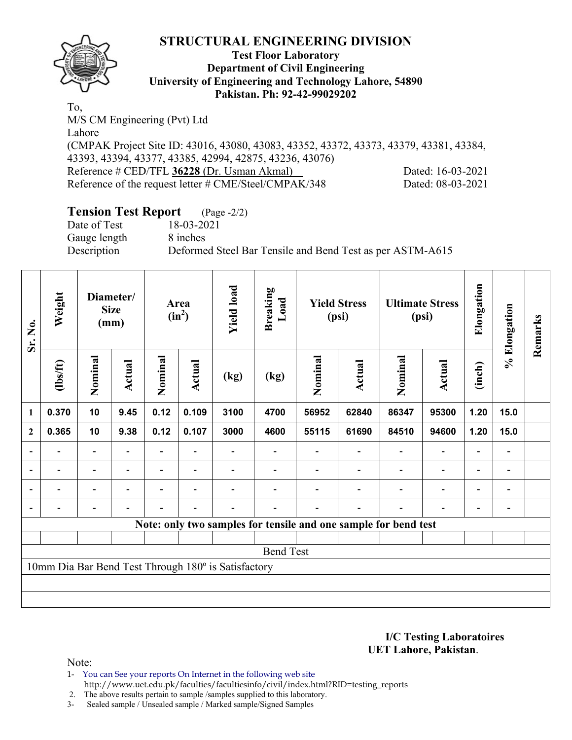

#### **Test Floor Laboratory Department of Civil Engineering University of Engineering and Technology Lahore, 54890 Pakistan. Ph: 92-42-99029202**

To, M/S CM Engineering (Pvt) Ltd Lahore (CMPAK Project Site ID: 43016, 43080, 43083, 43352, 43372, 43373, 43379, 43381, 43384, 43393, 43394, 43377, 43385, 42994, 42875, 43236, 43076) Reference # CED/TFL 36228 (Dr. Usman Akmal) Dated: 16-03-2021 Reference of the request letter # CME/Steel/CMPAK/348 Dated: 08-03-2021

# **Tension Test Report** (Page -2/2)

Date of Test 18-03-2021 Gauge length 8 inches

Description Deformed Steel Bar Tensile and Bend Test as per ASTM-A615

| Sr. No.                  | Weight         |                          | Diameter/<br><b>Size</b><br>(mm) |                | Area<br>$(in^2)$         | <b>Yield load</b>                                   | <b>Breaking</b><br>Load |         | <b>Yield Stress</b><br>(psi)                                    |                          | <b>Ultimate Stress</b><br>(psi) | Elongation     | % Elongation                 | Remarks |
|--------------------------|----------------|--------------------------|----------------------------------|----------------|--------------------------|-----------------------------------------------------|-------------------------|---------|-----------------------------------------------------------------|--------------------------|---------------------------------|----------------|------------------------------|---------|
|                          | (1bs/ft)       | Nominal                  | Actual                           | Nominal        | Actual                   | (kg)                                                | (kg)                    | Nominal | <b>Actual</b>                                                   | Nominal                  | Actual                          | (inch)         |                              |         |
| $\mathbf{1}$             | 0.370          | 10                       | 9.45                             | 0.12           | 0.109                    | 3100                                                | 4700                    | 56952   | 62840                                                           | 86347                    | 95300                           | 1.20           | 15.0                         |         |
| $\boldsymbol{2}$         | 0.365          | 10                       | 9.38                             | 0.12           | 0.107                    | 3000                                                | 4600                    | 55115   | 61690                                                           | 84510                    | 94600                           | 1.20           | 15.0                         |         |
| $\overline{\phantom{a}}$ |                | $\overline{\phantom{a}}$ | $\overline{\phantom{0}}$         |                |                          |                                                     |                         |         |                                                                 | $\blacksquare$           | $\qquad \qquad \blacksquare$    |                | $\overline{\phantom{a}}$     |         |
| $\blacksquare$           | ٠              | $\overline{\phantom{a}}$ | $\overline{\phantom{0}}$         | $\blacksquare$ | $\overline{\phantom{a}}$ |                                                     |                         |         |                                                                 | $\overline{\phantom{0}}$ | $\blacksquare$                  | $\blacksquare$ | $\qquad \qquad \blacksquare$ |         |
|                          | $\blacksquare$ | $\overline{\phantom{a}}$ | $\overline{\phantom{0}}$         |                |                          |                                                     |                         |         | $\overline{\phantom{a}}$                                        | $\overline{\phantom{a}}$ | $\qquad \qquad \blacksquare$    |                | $\qquad \qquad \blacksquare$ |         |
|                          |                |                          |                                  |                |                          |                                                     |                         |         |                                                                 |                          |                                 |                |                              |         |
|                          |                |                          |                                  |                |                          |                                                     |                         |         | Note: only two samples for tensile and one sample for bend test |                          |                                 |                |                              |         |
|                          |                |                          |                                  |                |                          |                                                     |                         |         |                                                                 |                          |                                 |                |                              |         |
|                          |                |                          |                                  |                |                          |                                                     | <b>Bend Test</b>        |         |                                                                 |                          |                                 |                |                              |         |
|                          |                |                          |                                  |                |                          | 10mm Dia Bar Bend Test Through 180° is Satisfactory |                         |         |                                                                 |                          |                                 |                |                              |         |
|                          |                |                          |                                  |                |                          |                                                     |                         |         |                                                                 |                          |                                 |                |                              |         |
|                          |                |                          |                                  |                |                          |                                                     |                         |         |                                                                 |                          |                                 |                |                              |         |

**I/C Testing Laboratoires UET Lahore, Pakistan**.

Note:

- 1- You can See your reports On Internet in the following web site http://www.uet.edu.pk/faculties/facultiesinfo/civil/index.html?RID=testing\_reports
- 2. The above results pertain to sample /samples supplied to this laboratory.
- 3- Sealed sample / Unsealed sample / Marked sample/Signed Samples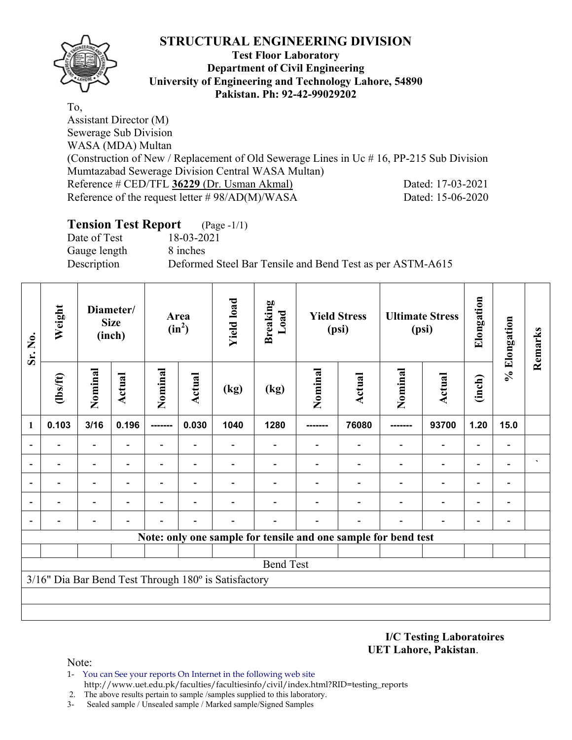

### **Test Floor Laboratory Department of Civil Engineering University of Engineering and Technology Lahore, 54890 Pakistan. Ph: 92-42-99029202**

To, Assistant Director (M) Sewerage Sub Division WASA (MDA) Multan (Construction of New / Replacement of Old Sewerage Lines in Uc # 16, PP-215 Sub Division Mumtazabad Sewerage Division Central WASA Multan) Reference # CED/TFL **36229** (Dr. Usman Akmal) Dated: 17-03-2021 Reference of the request letter # 98/AD(M)/WASA Dated: 15-06-2020

## **Tension Test Report** (Page -1/1)

Date of Test 18-03-2021 Gauge length 8 inches

Description Deformed Steel Bar Tensile and Bend Test as per ASTM-A615

| Sr. No.                  | Weight         |                | Diameter/<br><b>Size</b><br>(inch) |                          | Area<br>$(in^2)$         | <b>Yield load</b>                                    | <b>Breaking</b><br>Load                                        |          | <b>Yield Stress</b><br>(psi) |         | <b>Ultimate Stress</b><br>(psi) | Elongation               | % Elongation                 | Remarks        |
|--------------------------|----------------|----------------|------------------------------------|--------------------------|--------------------------|------------------------------------------------------|----------------------------------------------------------------|----------|------------------------------|---------|---------------------------------|--------------------------|------------------------------|----------------|
|                          | $\frac{2}{10}$ | Nominal        | <b>Actual</b>                      | Nominal                  | <b>Actual</b>            | (kg)                                                 | (kg)                                                           | Nominal  | <b>Actual</b>                | Nominal | <b>Actual</b>                   | (inch)                   |                              |                |
| $\mathbf{1}$             | 0.103          | 3/16           | 0.196                              | -------                  | 0.030                    | 1040                                                 | 1280                                                           | -------- | 76080                        | ------- | 93700                           | 1.20                     | 15.0                         |                |
| $\blacksquare$           |                | Ξ.             |                                    | $\overline{\phantom{0}}$ | ۰                        |                                                      |                                                                |          |                              |         | $\overline{\phantom{a}}$        |                          | $\qquad \qquad \blacksquare$ |                |
|                          |                | $\blacksquare$ |                                    | $\blacksquare$           | $\overline{\phantom{0}}$ |                                                      |                                                                |          |                              |         | $\blacksquare$                  | $\overline{\phantom{0}}$ | $\overline{\phantom{0}}$     | $\blacksquare$ |
|                          |                |                |                                    |                          |                          |                                                      |                                                                |          |                              |         |                                 |                          |                              |                |
| $\overline{a}$           |                | -              |                                    |                          | $\overline{\phantom{0}}$ |                                                      |                                                                |          |                              |         | $\overline{\phantom{0}}$        | $\overline{\phantom{0}}$ | $\overline{\phantom{a}}$     |                |
| $\overline{\phantom{0}}$ |                |                |                                    |                          |                          |                                                      |                                                                |          |                              |         |                                 |                          | -                            |                |
|                          |                |                |                                    |                          |                          |                                                      | Note: only one sample for tensile and one sample for bend test |          |                              |         |                                 |                          |                              |                |
|                          |                |                |                                    |                          |                          |                                                      |                                                                |          |                              |         |                                 |                          |                              |                |
|                          |                |                |                                    |                          |                          |                                                      | <b>Bend Test</b>                                               |          |                              |         |                                 |                          |                              |                |
|                          |                |                |                                    |                          |                          | 3/16" Dia Bar Bend Test Through 180° is Satisfactory |                                                                |          |                              |         |                                 |                          |                              |                |
|                          |                |                |                                    |                          |                          |                                                      |                                                                |          |                              |         |                                 |                          |                              |                |
|                          |                |                |                                    |                          |                          |                                                      |                                                                |          |                              |         |                                 |                          |                              |                |

**I/C Testing Laboratoires UET Lahore, Pakistan**.

Note:

- 1- You can See your reports On Internet in the following web site http://www.uet.edu.pk/faculties/facultiesinfo/civil/index.html?RID=testing\_reports
- 2. The above results pertain to sample /samples supplied to this laboratory.
- 3- Sealed sample / Unsealed sample / Marked sample/Signed Samples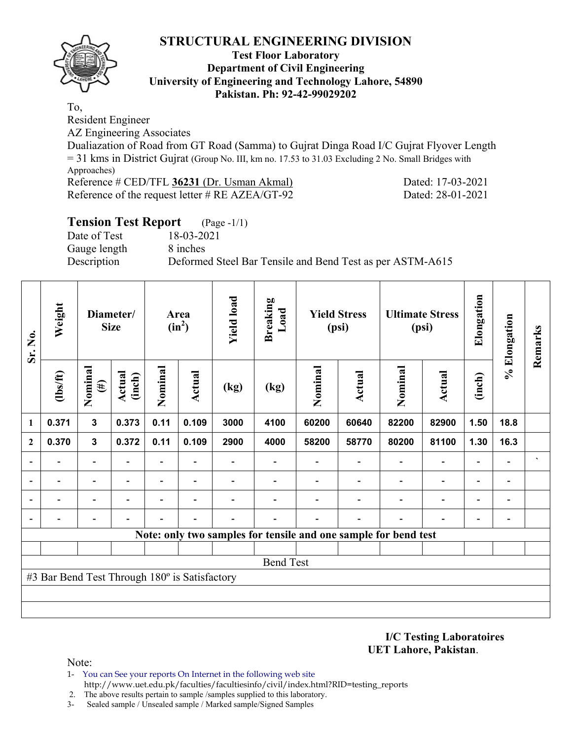

### **Test Floor Laboratory Department of Civil Engineering University of Engineering and Technology Lahore, 54890 Pakistan. Ph: 92-42-99029202**

To,

Resident Engineer

AZ Engineering Associates

Dualiazation of Road from GT Road (Samma) to Gujrat Dinga Road I/C Gujrat Flyover Length = 31 kms in District Gujrat (Group No. III, km no. 17.53 to 31.03 Excluding 2 No. Small Bridges with Approaches)

Reference # CED/TFL **36231** (Dr. Usman Akmal) Dated: 17-03-2021 Reference of the request letter # RE AZEA/GT-92 Dated: 28-01-2021

| <b>Tension Test Report</b> (Page -1/1) |                                                           |
|----------------------------------------|-----------------------------------------------------------|
| Date of Test                           | 18-03-2021                                                |
| Gauge length                           | 8 inches                                                  |
| Description                            | Deformed Steel Bar Tensile and Bend Test as per ASTM-A615 |

| Sr. No.        | Weight                                        |                   | Diameter/<br><b>Size</b> |                | Area<br>$(in^2)$ | <b>Yield load</b> | <b>Breaking</b><br>Load |                                                                 | <b>Yield Stress</b><br>(psi) |         | <b>Ultimate Stress</b><br>(psi) | Elongation               | % Elongation             | Remarks              |
|----------------|-----------------------------------------------|-------------------|--------------------------|----------------|------------------|-------------------|-------------------------|-----------------------------------------------------------------|------------------------------|---------|---------------------------------|--------------------------|--------------------------|----------------------|
|                | (lbs/ft)                                      | Nominal<br>$(\#)$ | <b>Actual</b><br>(inch)  | Nominal        | Actual           | (kg)              | (kg)                    | Nominal                                                         | Actual                       | Nominal | <b>Actual</b>                   | (inch)                   |                          |                      |
| $\mathbf{1}$   | 0.371                                         | $\mathbf{3}$      | 0.373                    | 0.11           | 0.109            | 3000              | 4100                    | 60200                                                           | 60640                        | 82200   | 82900                           | 1.50                     | 18.8                     |                      |
| $\overline{2}$ | 0.370                                         | $\mathbf{3}$      | 0.372                    | 0.11           | 0.109            | 2900              | 4000                    | 58200                                                           | 58770                        | 80200   | 81100                           | 1.30                     | 16.3                     |                      |
|                |                                               |                   |                          |                |                  |                   |                         |                                                                 |                              |         | $\qquad \qquad \blacksquare$    | $\overline{a}$           |                          | $\blacktriangledown$ |
|                | $\blacksquare$                                | -                 |                          | $\blacksquare$ |                  |                   |                         |                                                                 |                              |         | $\overline{\phantom{a}}$        | $\overline{\phantom{0}}$ |                          |                      |
|                |                                               | -                 |                          | $\blacksquare$ | $\blacksquare$   |                   |                         |                                                                 |                              |         | $\overline{\phantom{a}}$        | $\overline{\phantom{0}}$ | $\blacksquare$           |                      |
|                |                                               |                   |                          |                |                  |                   |                         |                                                                 |                              |         |                                 | $\overline{\phantom{0}}$ | $\overline{\phantom{0}}$ |                      |
|                |                                               |                   |                          |                |                  |                   |                         | Note: only two samples for tensile and one sample for bend test |                              |         |                                 |                          |                          |                      |
|                |                                               |                   |                          |                |                  |                   |                         |                                                                 |                              |         |                                 |                          |                          |                      |
|                |                                               |                   |                          |                |                  |                   | <b>Bend Test</b>        |                                                                 |                              |         |                                 |                          |                          |                      |
|                | #3 Bar Bend Test Through 180° is Satisfactory |                   |                          |                |                  |                   |                         |                                                                 |                              |         |                                 |                          |                          |                      |
|                |                                               |                   |                          |                |                  |                   |                         |                                                                 |                              |         |                                 |                          |                          |                      |
|                |                                               |                   |                          |                |                  |                   |                         |                                                                 |                              |         |                                 |                          |                          |                      |

**I/C Testing Laboratoires UET Lahore, Pakistan**.

Note:

- 1- You can See your reports On Internet in the following web site http://www.uet.edu.pk/faculties/facultiesinfo/civil/index.html?RID=testing\_reports
- 2. The above results pertain to sample /samples supplied to this laboratory.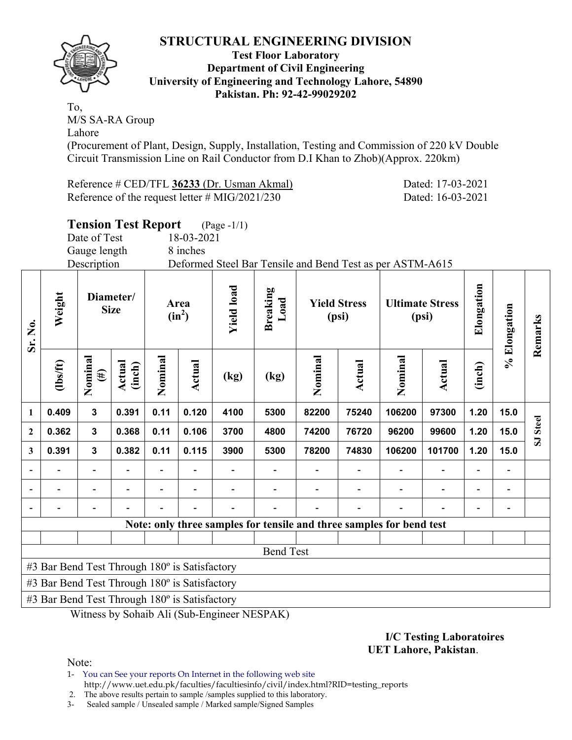

#### **Test Floor Laboratory Department of Civil Engineering University of Engineering and Technology Lahore, 54890 Pakistan. Ph: 92-42-99029202**

To, M/S SA-RA Group Lahore

(Procurement of Plant, Design, Supply, Installation, Testing and Commission of 220 kV Double Circuit Transmission Line on Rail Conductor from D.I Khan to Zhob)(Approx. 220km)

Reference # CED/TFL **36233** (Dr. Usman Akmal) Dated: 17-03-2021 Reference of the request letter # MIG/2021/230 Dated: 16-03-2021

|              |                                               |                          | <b>Tension Test Report</b> |         |            | $(Page - 1/1)$                                                    |                                                                      |                              |        |                                 |        |            |              |                         |  |  |  |  |
|--------------|-----------------------------------------------|--------------------------|----------------------------|---------|------------|-------------------------------------------------------------------|----------------------------------------------------------------------|------------------------------|--------|---------------------------------|--------|------------|--------------|-------------------------|--|--|--|--|
|              |                                               | Date of Test             |                            |         | 18-03-2021 |                                                                   |                                                                      |                              |        |                                 |        |            |              |                         |  |  |  |  |
|              |                                               | Gauge length             |                            |         | 8 inches   |                                                                   |                                                                      |                              |        |                                 |        |            |              |                         |  |  |  |  |
|              |                                               | Description              |                            |         |            |                                                                   | Deformed Steel Bar Tensile and Bend Test as per ASTM-A615            |                              |        |                                 |        |            |              |                         |  |  |  |  |
| Sr. No.      | Weight                                        | Diameter/<br><b>Size</b> |                            | Area    | $(in^2)$   | <b>Yield load</b>                                                 | <b>Breaking</b><br>Load                                              | <b>Yield Stress</b><br>(psi) |        | <b>Ultimate Stress</b><br>(psi) |        | Elongation | % Elongation | Remarks                 |  |  |  |  |
|              | (1bs/ft)                                      | Nominal<br>$(\#)$        | Actual<br>(inch)           | Nominal | Actual     | (kg)                                                              | (kg)                                                                 | Nominal                      | Actual | Nominal                         | Actual | (inch)     |              |                         |  |  |  |  |
| $\mathbf{1}$ | 0.409                                         | $\mathbf{3}$             | 0.391                      | 0.11    | 0.120      | 97300<br>1.20<br>4100<br>5300<br>82200<br>75240<br>106200<br>15.0 |                                                                      |                              |        |                                 |        |            |              |                         |  |  |  |  |
| $\mathbf{2}$ | 0.362                                         | $\mathbf{3}$             | 0.368                      | 0.11    | 0.106      | 3700                                                              | 4800                                                                 | 74200                        | 76720  | 96200                           | 99600  | 1.20       | 15.0         | <b>Steel</b>            |  |  |  |  |
| $\mathbf{3}$ | 0.391                                         | $\mathbf{3}$             | 0.382                      | 0.11    | 0.115      | 3900                                                              | 5300                                                                 | 78200                        | 74830  | 106200                          | 101700 | 1.20       | 15.0         | $\overline{\mathbf{S}}$ |  |  |  |  |
|              |                                               |                          |                            |         |            |                                                                   |                                                                      |                              |        |                                 |        |            |              |                         |  |  |  |  |
|              |                                               |                          |                            |         |            |                                                                   |                                                                      |                              |        |                                 |        |            |              |                         |  |  |  |  |
|              |                                               |                          |                            |         |            |                                                                   |                                                                      |                              |        |                                 |        |            |              |                         |  |  |  |  |
|              |                                               |                          |                            |         |            |                                                                   | Note: only three samples for tensile and three samples for bend test |                              |        |                                 |        |            |              |                         |  |  |  |  |
|              |                                               |                          |                            |         |            |                                                                   |                                                                      |                              |        |                                 |        |            |              |                         |  |  |  |  |
|              |                                               |                          |                            |         |            |                                                                   | <b>Bend Test</b>                                                     |                              |        |                                 |        |            |              |                         |  |  |  |  |
|              | #3 Bar Bend Test Through 180° is Satisfactory |                          |                            |         |            |                                                                   |                                                                      |                              |        |                                 |        |            |              |                         |  |  |  |  |
|              | #3 Bar Bend Test Through 180° is Satisfactory |                          |                            |         |            |                                                                   |                                                                      |                              |        |                                 |        |            |              |                         |  |  |  |  |
|              | #3 Bar Bend Test Through 180° is Satisfactory |                          |                            |         |            |                                                                   |                                                                      |                              |        |                                 |        |            |              |                         |  |  |  |  |

Witness by Sohaib Ali (Sub-Engineer NESPAK)

#### **I/C Testing Laboratoires UET Lahore, Pakistan**.

Note:

1- You can See your reports On Internet in the following web site http://www.uet.edu.pk/faculties/facultiesinfo/civil/index.html?RID=testing\_reports

2. The above results pertain to sample /samples supplied to this laboratory.